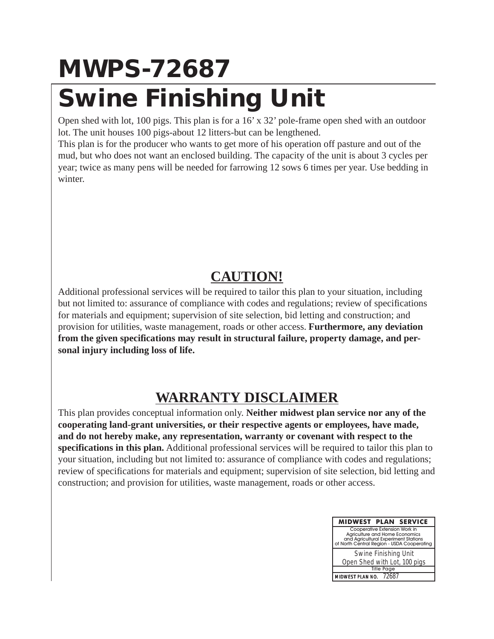## **MWPS-72687 Swine Finishing Unit**

Open shed with lot, 100 pigs. This plan is for a 16' x 32' pole-frame open shed with an outdoor lot. The unit houses 100 pigs-about 12 litters-but can be lengthened.

This plan is for the producer who wants to get more of his operation off pasture and out of the mud, but who does not want an enclosed building. The capacity of the unit is about 3 cycles per year; twice as many pens will be needed for farrowing 12 sows 6 times per year. Use bedding in winter.

## **CAUTION!**

Additional professional services will be required to tailor this plan to your situation, including but not limited to: assurance of compliance with codes and regulations; review of specifications for materials and equipment; supervision of site selection, bid letting and construction; and provision for utilities, waste management, roads or other access. **Furthermore, any deviation from the given specifications may result in structural failure, property damage, and personal injury including loss of life.**

## **WARRANTY DISCLAIMER**

This plan provides conceptual information only. **Neither midwest plan service nor any of the cooperating land-grant universities, or their respective agents or employees, have made, and do not hereby make, any representation, warranty or covenant with respect to the specifications in this plan.** Additional professional services will be required to tailor this plan to your situation, including but not limited to: assurance of compliance with codes and regulations; review of specifications for materials and equipment; supervision of site selection, bid letting and construction; and provision for utilities, waste management, roads or other access.

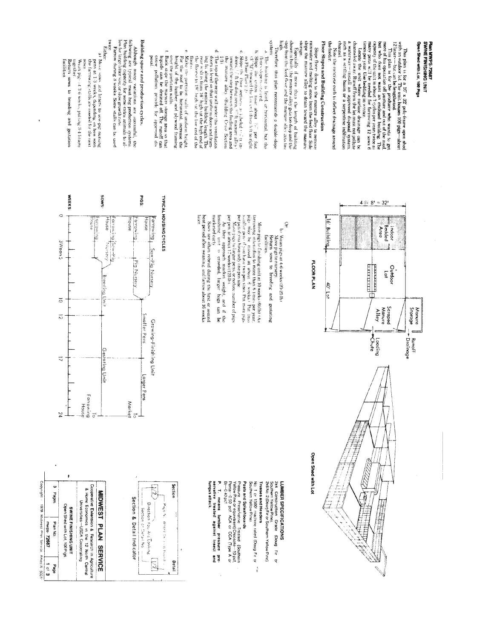Although many variations are successful, the following<br>following expectly for some extra action systems. Plan building expectly for some extra action as<br>seense by the section of the section of the section of the form of<br>t system **DWD** Building space and production cycles. Especially if more than the length of building shown is built, the manure alley gets too deep and the sep from the feed flow and the manure alley gets of the sep Shope floors down to the manure alley to remove rainwater and melting snow from the feed floor. Side slope the manure alley to drain toward the manure. Floor Slopes and Building Construction times per year. Use bedding in winter.<br>Locate the unit where surface drainage can be<br>channeled away. Runoff from the lot muss not pollute more of his operation off pasture and out of the rind, more of the operation of pasture and out of the rind, capacity of the unit is about 2 cycles per years two as a many pens will, be needed for farrowing 12 sows 6 many This plan is for a 15° x 32' pole-frame open shed with plan is for a 15° x 32' pole-frame open shed with the spectrum of the propenent of  $\sim$  12° and 12° and 12° and 12° and 12° and 12° and 12° and 12° and 12° and 12° an añezos the feeder Plan MWPS-72687<br>SWNKE FINISHING UNIT such as a settling basin or a serpentine infiltration Open Shed with Lot, 100 Pigs waterway. Either b. Slope the centre those about  $\mathbb{N}^*$ . per food of Floor Player (i.e. the the centre that is the centre of  $\mathbb{N}^*$  of  $\mathbb{N}^*$  and  $\mathbb{N}^*$  between  $\mathbb{N}^*$  the centre of  $\mathbb{N}^*$  of  $\mathbb{N}^*$  and  $\mathbb{N}$ Therefore. this plan recommends a double-slope Note the concrete curb to deflect drainage around p. ă Ļ. a) Movie sows and Inters to sow-pig nursing permit permit of the state of depending on how sconting permit stalls are needed for the mext that over the partition walls,<br>function and the state of the state of the state of the drained off. The runoff can<br>invariant the drained off. The runoff can<br>couse pollution: provide for approved discouse Move the partition walls of uniform height. For the roof to be horizontal, increase the height of the lumber, and physioal framing doors is level so that uniform doors and frame doors is level so that uniform doors and frame term value from  $16^{\circ}$  high out the light of the fluctuation of the fluctuation of the fluctuation of  $\sim$ The building is level, or borizontal, but the foors slope to one end. lesod The top of the rear wall under the ventilation install an approved disposal

system

Manure

(Dana)

 $\overline{\phi}$ 

圖調

Ã

facilities

ngethe

Wearings at 3-6 weeks, putting 3-4 littlers

Return sows to breeding and gestation

**WEEKS:** 

d

3Wean 5

 $\overline{\circ}$ 

 $\overline{5}$ 

 $\overline{z}$ 

ÞZ

Farrowing

 $\overline{\circ}$ 

House

 $\bar{1}$ 

SWOS





Larger Pens

Market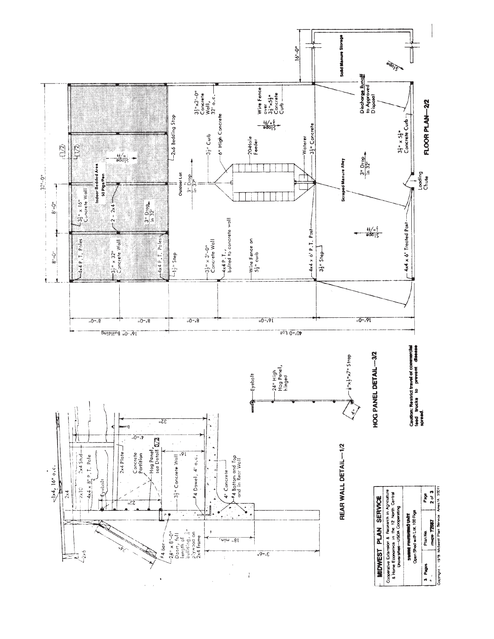